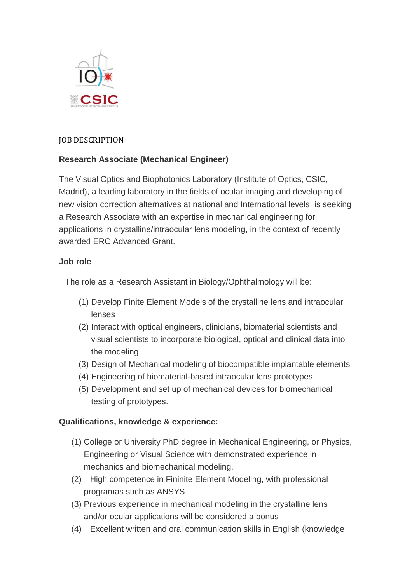

### JOB DESCRIPTION

# **Research Associate (Mechanical Engineer)**

The Visual Optics and Biophotonics Laboratory (Institute of Optics, CSIC, Madrid), a leading laboratory in the fields of ocular imaging and developing of new vision correction alternatives at national and International levels, is seeking a Research Associate with an expertise in mechanical engineering for applications in crystalline/intraocular lens modeling, in the context of recently awarded ERC Advanced Grant.

### **Job role**

The role as a Research Assistant in Biology/Ophthalmology will be:

- (1) Develop Finite Element Models of the crystalline lens and intraocular lenses
- (2) Interact with optical engineers, clinicians, biomaterial scientists and visual scientists to incorporate biological, optical and clinical data into the modeling
- (3) Design of Mechanical modeling of biocompatible implantable elements
- (4) Engineering of biomaterial-based intraocular lens prototypes
- (5) Development and set up of mechanical devices for biomechanical testing of prototypes.

### **Qualifications, knowledge & experience:**

- (1) College or University PhD degree in Mechanical Engineering, or Physics, Engineering or Visual Science with demonstrated experience in mechanics and biomechanical modeling.
- (2) High competence in Fininite Element Modeling, with professional programas such as ANSYS
- (3) Previous experience in mechanical modeling in the crystalline lens and/or ocular applications will be considered a bonus
- (4) Excellent written and oral communication skills in English (knowledge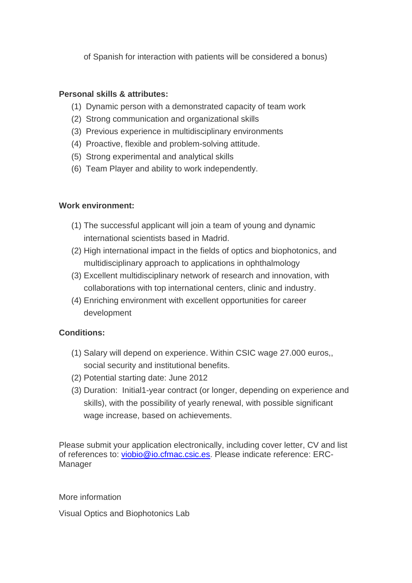of Spanish for interaction with patients will be considered a bonus)

# **Personal skills & attributes:**

- (1) Dynamic person with a demonstrated capacity of team work
- (2) Strong communication and organizational skills
- (3) Previous experience in multidisciplinary environments
- (4) Proactive, flexible and problem-solving attitude.
- (5) Strong experimental and analytical skills
- (6) Team Player and ability to work independently.

# **Work environment:**

- (1) The successful applicant will join a team of young and dynamic international scientists based in Madrid.
- (2) High international impact in the fields of optics and biophotonics, and multidisciplinary approach to applications in ophthalmology
- (3) Excellent multidisciplinary network of research and innovation, with collaborations with top international centers, clinic and industry.
- (4) Enriching environment with excellent opportunities for career development

### **Conditions:**

- (1) Salary will depend on experience. Within CSIC wage 27.000 euros,, social security and institutional benefits.
- (2) Potential starting date: June 2012
- (3) Duration: Initial1-year contract (or longer, depending on experience and skills), with the possibility of yearly renewal, with possible significant wage increase, based on achievements.

Please submit your application electronically, including cover letter, CV and list of references to: [viobio@io.cfmac.csic.es.](mailto:Susana@io.cfmac.csic.es) Please indicate reference: ERC-Manager

### More information

Visual Optics and Biophotonics Lab